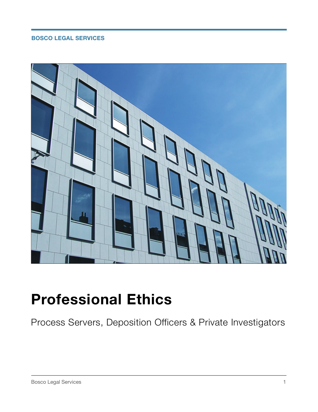### **BOSCO LEGAL SERVICES**



# **Professional Ethics**

Process Servers, Deposition Officers & Private Investigators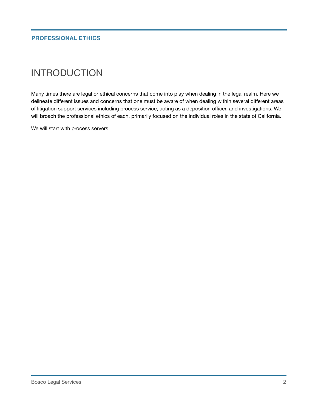### INTRODUCTION

Many times there are legal or ethical concerns that come into play when dealing in the legal realm. Here we delineate different issues and concerns that one must be aware of when dealing within several different areas of litigation support services including process service, acting as a deposition officer, and investigations. We will broach the professional ethics of each, primarily focused on the individual roles in the state of California.

We will start with process servers.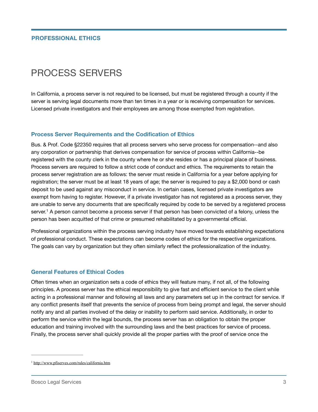#### **PROFESSIONAL ETHICS**

## PROCESS SERVERS

In California, a process server is not required to be licensed, but must be registered through a county if the server is serving legal documents more than ten times in a year or is receiving compensation for services. Licensed private investigators and their employees are among those exempted from registration.

#### **Process Server Requirements and the Codification of Ethics**

Bus. & Prof. Code §22350 requires that all process servers who serve process for compensation--and also any corporation or partnership that derives compensation for service of process within California--be registered with the county clerk in the county where he or she resides or has a principal place of business. Process servers are required to follow a strict code of conduct and ethics. The requirements to retain the process server registration are as follows: the server must reside in California for a year before applying for registration; the server must be at least 18 years of age; the server is required to pay a \$2,000 bond or cash deposit to be used against any misconduct in service. In certain cases, licensed private investigators are exempt from having to register. However, if a private investigator has not registered as a process server, they are unable to serve any documents that are specifically required by code to be served by a registered process server.<sup>1</sup> A person cannot become a process server if that person has been convicted of a felony, unless the person has been acquitted of that crime or presumed rehabilitated by a governmental official.

Professional organizations within the process serving industry have moved towards establishing expectations of professional conduct. These expectations can become codes of ethics for the respective organizations. The goals can vary by organization but they often similarly reflect the professionalization of the industry.

#### **General Features of Ethical Codes**

Often times when an organization sets a code of ethics they will feature many, if not all, of the following principles. A process server has the ethical responsibility to give fast and efficient service to the client while acting in a professional manner and following all laws and any parameters set up in the contract for service. If any conflict presents itself that prevents the service of process from being prompt and legal, the server should notify any and all parties involved of the delay or inability to perform said service. Additionally, in order to perform the service within the legal bounds, the process server has an obligation to obtain the proper education and training involved with the surrounding laws and the best practices for service of process. Finally, the process server shall quickly provide all the proper parties with the proof of service once the

<sup>1</sup> http://www.pfiserves.com/rules/california.htm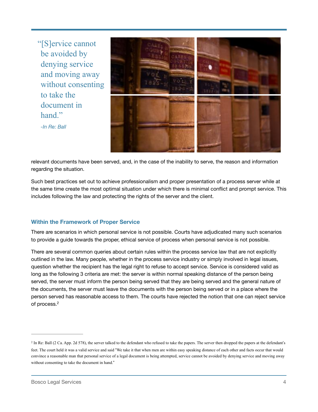"[S]ervice cannot be avoided by denying service and moving away without consenting to take the document in hand" *-In Re: Ball*



relevant documents have been served, and, in the case of the inability to serve, the reason and information regarding the situation.

Such best practices set out to achieve professionalism and proper presentation of a process server while at the same time create the most optimal situation under which there is minimal conflict and prompt service. This includes following the law and protecting the rights of the server and the client.

#### **Within the Framework of Proper Service**

There are scenarios in which personal service is not possible. Courts have adjudicated many such scenarios to provide a guide towards the proper, ethical service of process when personal service is not possible.

There are several common queries about certain rules within the process service law that are not explicitly outlined in the law. Many people, whether in the process service industry or simply involved in legal issues, question whether the recipient has the legal right to refuse to accept service. Service is considered valid as long as the following 3 criteria are met: the server is within normal speaking distance of the person being served, the server must inform the person being served that they are being served and the general nature of the documents, the server must leave the documents with the person being served or in a place where the person served has reasonable access to them. The courts have rejected the notion that one can reject service of process.<sup>2</sup>

<sup>&</sup>lt;sup>2</sup> In Re: Ball (2 Ca. App. 2d 578), the server talked to the defendant who refused to take the papers. The server then dropped the papers at the defendant's feet. The court held it was a valid service and said "We take it that when men are within easy speaking distance of each other and facts occur that would convince a reasonable man that personal service of a legal document is being attempted, service cannot be avoided by denying service and moving away without consenting to take the document in hand."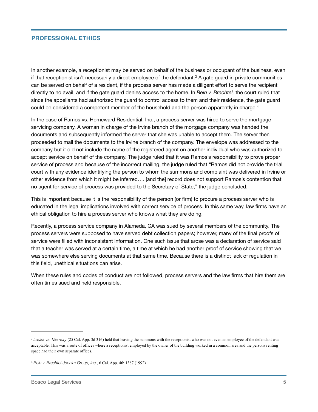#### **PROFESSIONAL ETHICS**

In another example, a receptionist may be served on behalf of the business or occupant of the business, even if that receptionist isn't necessarily a direct employee of the defendant.<sup>3</sup> A gate guard in private communities can be served on behalf of a resident, if the process server has made a diligent effort to serve the recipient directly to no avail, and if the gate guard denies access to the home. In *Bein v. Brechtel,* the court ruled that since the appellants had authorized the guard to control access to them and their residence, the gate guard could be considered a competent member of the household and the person apparently in charge.<sup>4</sup>

In the case of Ramos vs. Homeward Residential, Inc., a process server was hired to serve the mortgage servicing company. A woman in charge of the Irvine branch of the mortgage company was handed the documents and subsequently informed the server that she was unable to accept them. The server then proceeded to mail the documents to the Irvine branch of the company. The envelope was addressed to the company but it did not include the name of the registered agent on another individual who was authorized to accept service on behalf of the company. The judge ruled that it was Ramos's responsibility to prove proper service of process and because of the incorrect mailing, the judge ruled that "Ramos did not provide the trial court with any evidence identifying the person to whom the summons and complaint was delivered in Irvine or other evidence from which it might be inferred…. [and the] record does not support Ramos's contention that no agent for service of process was provided to the Secretary of State," the judge concluded.

This is important because it is the responsibility of the person (or firm) to procure a process server who is educated in the legal implications involved with correct service of process. In this same way, law firms have an ethical obligation to hire a process server who knows what they are doing.

Recently, a process service company in Alameda, CA was sued by several members of the community. The process servers were supposed to have served debt collection papers; however, many of the final proofs of service were filled with inconsistent information. One such issue that arose was a declaration of service said that a teacher was served at a certain time, a time at which he had another proof of service showing that we was somewhere else serving documents at that same time. Because there is a distinct lack of regulation in this field, unethical situations can arise.

When these rules and codes of conduct are not followed, process servers and the law firms that hire them are often times sued and held responsible.

<sup>&</sup>lt;sup>3</sup> Ludka vs. Memory (25 Cal. App. 3d 316) held that leaving the summons with the receptionist who was not even an employee of the defendant was acceptable. This was a suite of offices where a receptionist employed by the owner of the building worked in a common area and the persons renting space had their own separate offices.

<sup>&</sup>lt;sup>4</sup> Bein v. Brechtel-Jochim Group, Inc., 6 Cal. App. 4th 1387 (1992)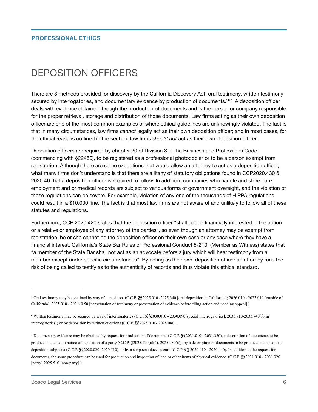### DEPOSITION OFFICERS

There are 3 methods provided for discovery by the California Discovery Act: oral testimony, written testimony secured by interrogatories, and documentary evidence by production of documents.<sup>567</sup> A deposition officer deals with evidence obtained through the production of documents and is the person or company responsible for the proper retrieval, storage and distribution of those documents. Law firms acting as their own deposition officer are one of the most common examples of where ethical guidelines are unknowingly violated. The fact is that in many circumstances, law firms cannot legally act as their own deposition officer; and in most cases, for the ethical reasons outlined in the section, law firms should not act as their own deposition officer.

Deposition officers are required by chapter 20 of Division 8 of the Business and Professions Code (commencing with §22450), to be registered as a professional photocopier or to be a person exempt from registration. Although there are some exceptions that would allow an attorney to act as a deposition officer, what many firms don't understand is that there are a litany of statutory obligations found in CCP2020.430 & 2020.40 that a deposition officer is required to follow. In addition, companies who handle and store bank, employment and or medical records are subject to various forms of government oversight, and the violation of those regulations can be severe. For example, violation of any one of the thousands of HIPPA regulations could result in a \$10,000 fine. The fact is that most law firms are not aware of and unlikely to follow all of these statutes and regulations.

Furthermore, CCP 2020.420 states that the deposition officer "shall not be financially interested in the action or a relative or employee of any attorney of the parties", so even though an attorney may be exempt from registration, he or she cannot be the deposition officer on their own case or any case where they have a financial interest. California's State Bar Rules of Professional Conduct 5-210: (Member as Witness) states that "a member of the State Bar shall not act as an advocate before a jury which will hear testimony from a member except under specific circumstances". By acting as their own deposition officer an attorney runs the risk of being called to testify as to the authenticity of records and thus violate this ethical standard.

<sup>&</sup>lt;sup>5</sup> Oral testimony may be obtained by way of deposition. (C.C.P. §§2025.010 -2025.340 [oral deposition in California]; 2026.010 - 2027.010 [outside of California], 2035.010 - 203 6.0 50 [perpetuation of testimony or preservation of evidence before filing action and pending appeal].)

Written testimony may be secured by way of interrogatories (C.C.P.§§2030.010 - 2030.090[special interrogatories]; 2033.710-2033.740[form 6 interrogatories]) or by deposition by written questions (C.C.P. §§2028.010 - 2028.080).

Documentary evidence may be obtained by request for production of documents (C.C.P. §§2031.010 - 2031.320), a description of documents to be 7 produced attached to notice of deposition of a party (C.C.P. §2025.220(a)(4), 2025.280(a)), by a description of documents to be produced attached to a deposition subpoena (C.C.P. §§2020.020, 2020.510), or by a subpoena duces tecum (C.C.P. §§ 2020.410 - 2020.440). In addition to the request for documents, the same procedure can be used for production and inspection of land or other items of physical evidence. (C.C.P. §§2031.010 - 2031.320 [parry] 2025.510 [non-party].)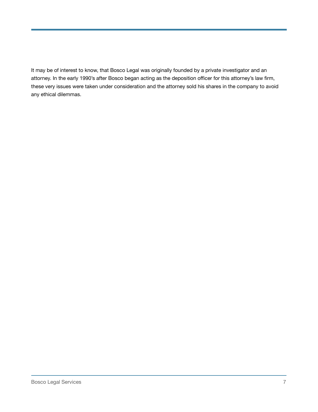It may be of interest to know, that Bosco Legal was originally founded by a private investigator and an attorney. In the early 1990's after Bosco began acting as the deposition officer for this attorney's law firm, these very issues were taken under consideration and the attorney sold his shares in the company to avoid any ethical dilemmas.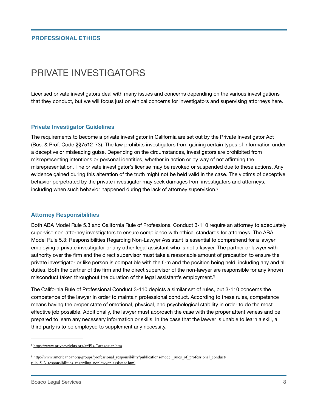### PRIVATE INVESTIGATORS

Licensed private investigators deal with many issues and concerns depending on the various investigations that they conduct, but we will focus just on ethical concerns for investigators and supervising attorneys here.

#### **Private Investigator Guidelines**

The requirements to become a private investigator in California are set out by the Private Investigator Act (Bus. & Prof. Code §§7512-73). The law prohibits investigators from gaining certain types of information under a deceptive or misleading guise. Depending on the circumstances, investigators are prohibited from misrepresenting intentions or personal identities, whether in action or by way of not affirming the misrepresentation. The private investigator's license may be revoked or suspended due to these actions. Any evidence gained during this alteration of the truth might not be held valid in the case. The victims of deceptive behavior perpetrated by the private investigator may seek damages from investigators and attorneys, including when such behavior happened during the lack of attorney supervision.<sup>8</sup>

#### **Attorney Responsibilities**

Both ABA Model Rule 5.3 and California Rule of Professional Conduct 3-110 require an attorney to adequately supervise non-attorney investigators to ensure compliance with ethical standards for attorneys. The ABA Model Rule 5.3: Responsibilities Regarding Non-Lawyer Assistant is essential to comprehend for a lawyer employing a private investigator or any other legal assistant who is not a lawyer. The partner or lawyer with authority over the firm and the direct supervisor must take a reasonable amount of precaution to ensure the private investigator or like person is compatible with the firm and the position being held, including any and all duties. Both the partner of the firm and the direct supervisor of the non-lawyer are responsible for any known misconduct taken throughout the duration of the legal assistant's employment.9

The California Rule of Professional Conduct 3-110 depicts a similar set of rules, but 3-110 concerns the competence of the lawyer in order to maintain professional conduct. According to these rules, competence means having the proper state of emotional, physical, and psychological stability in order to do the most effective job possible. Additionally, the lawyer must approach the case with the proper attentiveness and be prepared to learn any necessary information or skills. In the case that the lawyer is unable to learn a skill, a third party is to be employed to supplement any necessity.

<sup>8</sup> https://www.privacyrights.org/ar/PIs-Caragozian.htm

http://www.americanbar.org/groups/professional\_responsibility/publications/model\_rules\_of\_professional\_conduct/ <sup>9</sup> rule\_5\_3\_responsibilities\_regarding\_nonlawyer\_assistant.html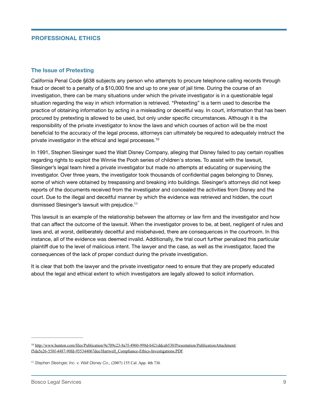#### **PROFESSIONAL ETHICS**

#### **The Issue of Pretexting**

California Penal Code §638 subjects any person who attempts to procure telephone calling records through fraud or deceit to a penalty of a \$10,000 fine and up to one year of jail time. During the course of an  $\,$ investigation, there can be many situations under which the private investigator is in a questionable legal situation regarding the way in which information is retrieved. "Pretexting" is a term used to describe the practice of obtaining information by acting in a misleading or deceitful way. In court, information that has been procured by pretexting is allowed to be used, but only under specific circumstances. Although it is the responsibility of the private investigator to know the laws and which courses of action will be the most beneficial to the accuracy of the legal process, attorneys can ultimately be required to adequately instruct the private investigator in the ethical and legal processes.<sup>10</sup>

In 1991, Stephen Slesinger sued the Walt Disney Company, alleging that Disney failed to pay certain royalties regarding rights to exploit the Winnie the Pooh series of children's stories. To assist with the lawsuit, Slesinger's legal team hired a private investigator but made no attempts at educating or supervising the investigator. Over three years, the investigator took thousands of confidential pages belonging to Disney, some of which were obtained by trespassing and breaking into buildings. Slesinger's attorneys did not keep reports of the documents received from the investigator and concealed the activities from Disney and the court. Due to the illegal and deceitful manner by which the evidence was retrieved and hidden, the court dismissed Slesinger's lawsuit with prejudice.<sup>11</sup>

This lawsuit is an example of the relationship between the attorney or law firm and the investigator and how that can affect the outcome of the lawsuit. When the investigator proves to be, at best, negligent of rules and laws and, at worst, deliberately deceitful and misbehaved, there are consequences in the courtroom. In this instance, all of the evidence was deemed invalid. Additionally, the trial court further penalized this particular plaintiff due to the level of malicious intent. The lawyer and the case, as well as the investigator, faced the consequences of the lack of proper conduct during the private investigation.

It is clear that both the lawyer and the private investigator need to ensure that they are properly educated about the legal and ethical extent to which investigators are legally allowed to solicit information.

<sup>&</sup>lt;sup>10</sup> http://www.hunton.com/files/Publication/9e709c23-8a7f-4960-998d-b421ddcab530/Presentation/PublicationAttachment/ f5da5e26-558f-4487-90fd-955344067dee/Hartwell\_Compliance-Ethics-Investigations.PDF

<sup>&</sup>lt;sup>11</sup> Stephen Slesinger, Inc. v. Walt Disney Co., (2007) 155 Cal. App. 4th 736